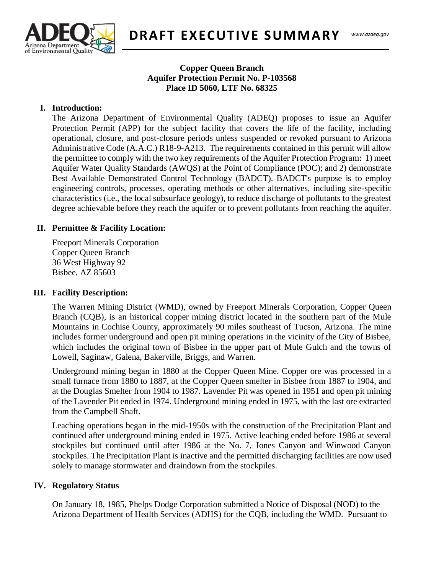

**DRAFT EXECUTIVE SUMM ARY**

### **Copper Queen Branch Aquifer Protection Permit No. P-103568 Place ID 5060, LTF No. 68325**

### **I. Introduction:**

 $T_{\text{max}}$ The Arizona Department of Environmental Quality (ADEQ) proposes to issue an Aquifer Protection Permit (APP) for the subject facility that covers the life of the facility, including operational, closure, and post-closure periods unless suspended or revoked pursuant to Arizona Administrative Code (A.A.C.) R18-9-A213. The requirements contained in this permit will allow the permittee to comply with the two key requirements of the Aquifer Protection Program: 1) meet Aquifer Water Quality Standards (AWQS) at the Point of Compliance (POC); and 2) demonstrate Best Available Demonstrated Control Technology (BADCT). BADCT's purpose is to employ engineering controls, processes, operating methods or other alternatives, including site-specific characteristics (i.e., the local subsurface geology), to reduce discharge of pollutants to the greatest degree achievable before they reach the aquifer or to prevent pollutants from reaching the aquifer.

#### **II. Permittee & Facility Location:**

Freeport Minerals Corporation Copper Queen Branch 36 West Highway 92 Bisbee, AZ 85603

#### **III. Facility Description:**

The Warren Mining District (WMD), owned by Freeport Minerals Corporation, Copper Queen Branch (CQB), is an historical copper mining district located in the southern part of the Mule Mountains in Cochise County, approximately 90 miles southeast of Tucson, Arizona. The mine includes former underground and open pit mining operations in the vicinity of the City of Bisbee, which includes the original town of Bisbee in the upper part of Mule Gulch and the towns of Lowell, Saginaw, Galena, Bakerville, Briggs, and Warren.

Underground mining began in 1880 at the Copper Queen Mine. Copper ore was processed in a small furnace from 1880 to 1887, at the Copper Queen smelter in Bisbee from 1887 to 1904, and at the Douglas Smelter from 1904 to 1987. Lavender Pit was opened in 1951 and open pit mining of the Lavender Pit ended in 1974. Underground mining ended in 1975, with the last ore extracted from the Campbell Shaft.

Leaching operations began in the mid-1950s with the construction of the Precipitation Plant and continued after underground mining ended in 1975. Active leaching ended before 1986 at several stockpiles but continued until after 1986 at the No. 7, Jones Canyon and Winwood Canyon stockpiles. The Precipitation Plant is inactive and the permitted discharging facilities are now used solely to manage stormwater and draindown from the stockpiles.

#### **IV. Regulatory Status**

On January 18, 1985, Phelps Dodge Corporation submitted a Notice of Disposal (NOD) to the Arizona Department of Health Services (ADHS) for the CQB, including the WMD. Pursuant to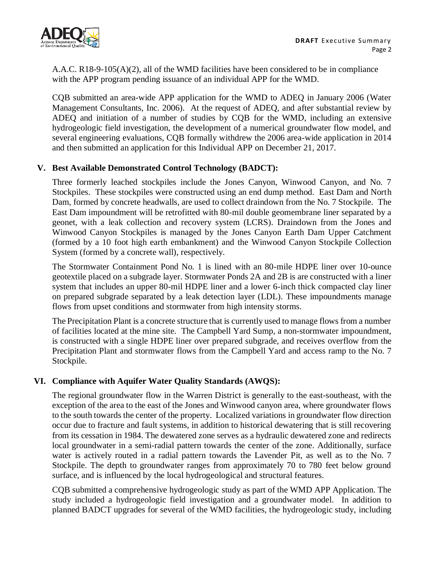

A.A.C. R18-9-105(A)(2), all of the WMD facilities have been considered to be in compliance with the APP program pending issuance of an individual APP for the WMD.

CQB submitted an area-wide APP application for the WMD to ADEQ in January 2006 (Water Management Consultants, Inc. 2006). At the request of ADEQ, and after substantial review by ADEQ and initiation of a number of studies by CQB for the WMD, including an extensive hydrogeologic field investigation, the development of a numerical groundwater flow model, and several engineering evaluations, CQB formally withdrew the 2006 area-wide application in 2014 and then submitted an application for this Individual APP on December 21, 2017.

# **V. Best Available Demonstrated Control Technology (BADCT):**

Three formerly leached stockpiles include the Jones Canyon, Winwood Canyon, and No. 7 Stockpiles. These stockpiles were constructed using an end dump method. East Dam and North Dam, formed by concrete headwalls, are used to collect draindown from the No. 7 Stockpile. The East Dam impoundment will be retrofitted with 80-mil double geomembrane liner separated by a geonet, with a leak collection and recovery system (LCRS). Draindown from the Jones and Winwood Canyon Stockpiles is managed by the Jones Canyon Earth Dam Upper Catchment (formed by a 10 foot high earth embankment) and the Winwood Canyon Stockpile Collection System (formed by a concrete wall), respectively.

The Stormwater Containment Pond No. 1 is lined with an 80-mile HDPE liner over 10-ounce geotextile placed on a subgrade layer. Stormwater Ponds 2A and 2B is are constructed with a liner system that includes an upper 80-mil HDPE liner and a lower 6-inch thick compacted clay liner on prepared subgrade separated by a leak detection layer (LDL). These impoundments manage flows from upset conditions and stormwater from high intensity storms.

The Precipitation Plant is a concrete structure that is currently used to manage flows from a number of facilities located at the mine site. The Campbell Yard Sump, a non-stormwater impoundment, is constructed with a single HDPE liner over prepared subgrade, and receives overflow from the Precipitation Plant and stormwater flows from the Campbell Yard and access ramp to the No. 7 Stockpile.

# **VI. Compliance with Aquifer Water Quality Standards (AWQS):**

The regional groundwater flow in the Warren District is generally to the east-southeast, with the exception of the area to the east of the Jones and Winwood canyon area, where groundwater flows to the south towards the center of the property. Localized variations in groundwater flow direction occur due to fracture and fault systems, in addition to historical dewatering that is still recovering from its cessation in 1984. The dewatered zone serves as a hydraulic dewatered zone and redirects local groundwater in a semi-radial pattern towards the center of the zone. Additionally, surface water is actively routed in a radial pattern towards the Lavender Pit, as well as to the No. 7 Stockpile. The depth to groundwater ranges from approximately 70 to 780 feet below ground surface, and is influenced by the local hydrogeological and structural features.

CQB submitted a comprehensive hydrogeologic study as part of the WMD APP Application. The study included a hydrogeologic field investigation and a groundwater model. In addition to planned BADCT upgrades for several of the WMD facilities, the hydrogeologic study, including